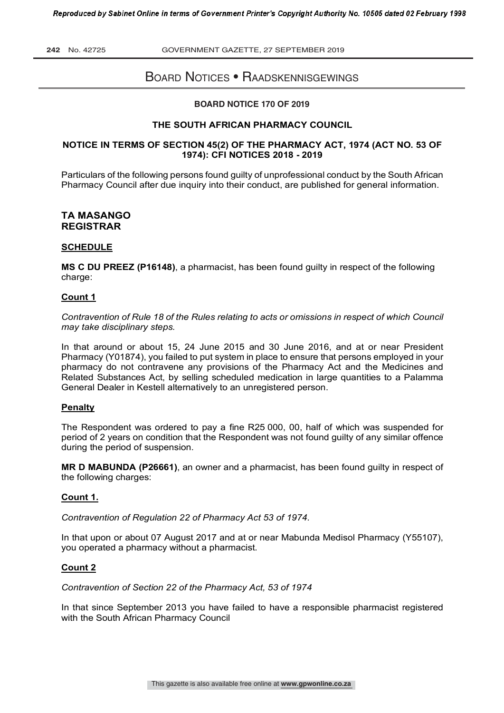# BOARD NOTICES • RAADSKENNISGEWINGS

#### **BOARD NOTICE 170 OF 2019**

#### **THE SOUTH AFRICAN PHARMACY COUNCIL**

#### **NOTICE IN TERMS OF SECTION 45(2) OF THE PHARMACY ACT, 1974 (ACT NO. 53 OF 1974): CFI NOTICES 2018 - 2019**

Particulars of the following persons found guilty of unprofessional conduct by the South African Pharmacy Council after due inquiry into their conduct, are published for general information.

## **TA MASANGO REGISTRAR**

#### **SCHEDULE**

**MS C DU PREEZ (P16148)**, a pharmacist, has been found guilty in respect of the following charge:

#### **Count 1**

*Contravention of Rule 18 of the Rules relating to acts or omissions in respect of which Council may take disciplinary steps.*

In that around or about 15, 24 June 2015 and 30 June 2016, and at or near President Pharmacy (Y01874), you failed to put system in place to ensure that persons employed in your pharmacy do not contravene any provisions of the Pharmacy Act and the Medicines and Related Substances Act, by selling scheduled medication in large quantities to a Palamma General Dealer in Kestell alternatively to an unregistered person.

#### **Penalty**

The Respondent was ordered to pay a fine R25 000, 00, half of which was suspended for period of 2 years on condition that the Respondent was not found guilty of any similar offence during the period of suspension.

**MR D MABUNDA (P26661)**, an owner and a pharmacist, has been found guilty in respect of the following charges:

#### **Count 1.**

*Contravention of Regulation 22 of Pharmacy Act 53 of 1974.*

In that upon or about 07 August 2017 and at or near Mabunda Medisol Pharmacy (Y55107), you operated a pharmacy without a pharmacist.

#### **Count 2**

*Contravention of Section 22 of the Pharmacy Act, 53 of 1974*

In that since September 2013 you have failed to have a responsible pharmacist registered with the South African Pharmacy Council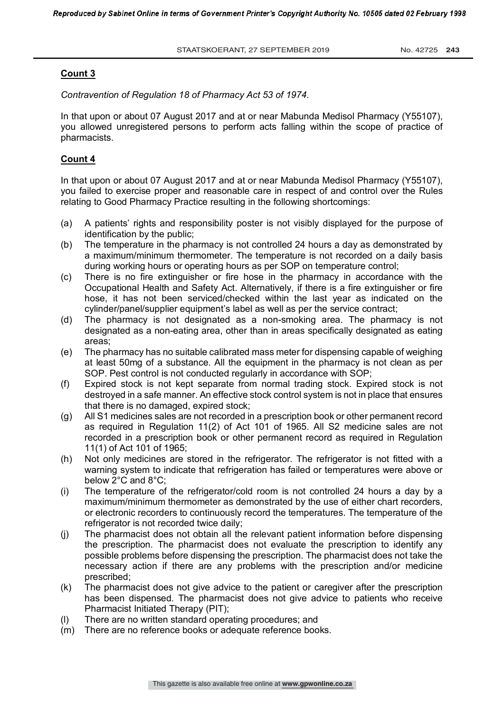*Contravention of Regulation 18 of Pharmacy Act 53 of 1974.*

In that upon or about 07 August 2017 and at or near Mabunda Medisol Pharmacy (Y55107), you allowed unregistered persons to perform acts falling within the scope of practice of pharmacists.

## **Count 4**

In that upon or about 07 August 2017 and at or near Mabunda Medisol Pharmacy (Y55107), you failed to exercise proper and reasonable care in respect of and control over the Rules relating to Good Pharmacy Practice resulting in the following shortcomings:

- (a) A patients' rights and responsibility poster is not visibly displayed for the purpose of identification by the public;
- (b) The temperature in the pharmacy is not controlled 24 hours a day as demonstrated by a maximum/minimum thermometer. The temperature is not recorded on a daily basis during working hours or operating hours as per SOP on temperature control;
- (c) There is no fire extinguisher or fire hose in the pharmacy in accordance with the Occupational Health and Safety Act. Alternatively, if there is a fire extinguisher or fire hose, it has not been serviced/checked within the last year as indicated on the cylinder/panel/supplier equipment's label as well as per the service contract;
- (d) The pharmacy is not designated as a non-smoking area. The pharmacy is not designated as a non-eating area, other than in areas specifically designated as eating areas;
- (e) The pharmacy has no suitable calibrated mass meter for dispensing capable of weighing at least 50mg of a substance. All the equipment in the pharmacy is not clean as per SOP. Pest control is not conducted regularly in accordance with SOP;
- (f) Expired stock is not kept separate from normal trading stock. Expired stock is not destroyed in a safe manner. An effective stock control system is not in place that ensures that there is no damaged, expired stock;
- (g) All S1 medicines sales are not recorded in a prescription book or other permanent record as required in Regulation 11(2) of Act 101 of 1965. All S2 medicine sales are not recorded in a prescription book or other permanent record as required in Regulation 11(1) of Act 101 of 1965;
- (h) Not only medicines are stored in the refrigerator. The refrigerator is not fitted with a warning system to indicate that refrigeration has failed or temperatures were above or below 2°C and 8°C;
- (i) The temperature of the refrigerator/cold room is not controlled 24 hours a day by a maximum/minimum thermometer as demonstrated by the use of either chart recorders, or electronic recorders to continuously record the temperatures. The temperature of the refrigerator is not recorded twice daily;
- (j) The pharmacist does not obtain all the relevant patient information before dispensing the prescription. The pharmacist does not evaluate the prescription to identify any possible problems before dispensing the prescription. The pharmacist does not take the necessary action if there are any problems with the prescription and/or medicine prescribed;
- (k) The pharmacist does not give advice to the patient or caregiver after the prescription has been dispensed. The pharmacist does not give advice to patients who receive Pharmacist Initiated Therapy (PIT);
- (l) There are no written standard operating procedures; and
- (m) There are no reference books or adequate reference books.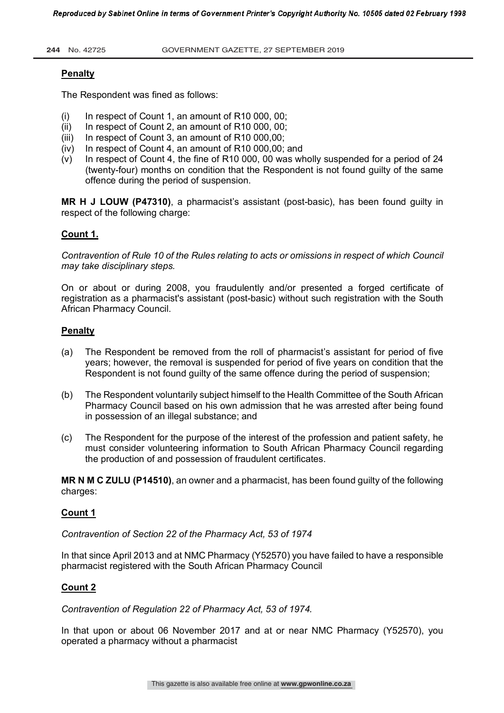# **Penalty**

The Respondent was fined as follows:

- (i) In respect of Count 1, an amount of R10 000, 00;<br>(ii) In respect of Count 2, an amount of R10 000, 00:
- In respect of Count 2, an amount of R10 000, 00;
- (iii) In respect of Count 3, an amount of R10 000,00;
- (iv) In respect of Count 4, an amount of R10 000,00; and
- (v) In respect of Count 4, the fine of R10 000, 00 was wholly suspended for a period of 24 (twenty-four) months on condition that the Respondent is not found guilty of the same offence during the period of suspension.

**MR H J LOUW (P47310)**, a pharmacist's assistant (post-basic), has been found guilty in respect of the following charge:

# **Count 1.**

*Contravention of Rule 10 of the Rules relating to acts or omissions in respect of which Council may take disciplinary steps.*

On or about or during 2008, you fraudulently and/or presented a forged certificate of registration as a pharmacist's assistant (post-basic) without such registration with the South African Pharmacy Council.

## **Penalty**

- (a) The Respondent be removed from the roll of pharmacist's assistant for period of five years; however, the removal is suspended for period of five years on condition that the Respondent is not found guilty of the same offence during the period of suspension;
- (b) The Respondent voluntarily subject himself to the Health Committee of the South African Pharmacy Council based on his own admission that he was arrested after being found in possession of an illegal substance; and
- (c) The Respondent for the purpose of the interest of the profession and patient safety, he must consider volunteering information to South African Pharmacy Council regarding the production of and possession of fraudulent certificates.

**MR N M C ZULU (P14510)**, an owner and a pharmacist, has been found guilty of the following charges:

# **Count 1**

*Contravention of Section 22 of the Pharmacy Act, 53 of 1974*

In that since April 2013 and at NMC Pharmacy (Y52570) you have failed to have a responsible pharmacist registered with the South African Pharmacy Council

## **Count 2**

*Contravention of Regulation 22 of Pharmacy Act, 53 of 1974.*

In that upon or about 06 November 2017 and at or near NMC Pharmacy (Y52570), you operated a pharmacy without a pharmacist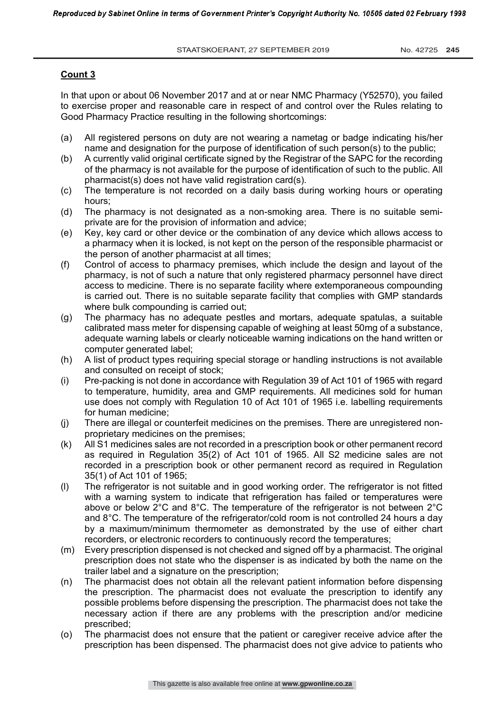In that upon or about 06 November 2017 and at or near NMC Pharmacy (Y52570), you failed to exercise proper and reasonable care in respect of and control over the Rules relating to Good Pharmacy Practice resulting in the following shortcomings:

- (a) All registered persons on duty are not wearing a nametag or badge indicating his/her name and designation for the purpose of identification of such person(s) to the public;
- (b) A currently valid original certificate signed by the Registrar of the SAPC for the recording of the pharmacy is not available for the purpose of identification of such to the public. All pharmacist(s) does not have valid registration card(s).
- (c) The temperature is not recorded on a daily basis during working hours or operating hours;
- (d) The pharmacy is not designated as a non-smoking area. There is no suitable semiprivate are for the provision of information and advice;
- (e) Key, key card or other device or the combination of any device which allows access to a pharmacy when it is locked, is not kept on the person of the responsible pharmacist or the person of another pharmacist at all times;
- (f) Control of access to pharmacy premises, which include the design and layout of the pharmacy, is not of such a nature that only registered pharmacy personnel have direct access to medicine. There is no separate facility where extemporaneous compounding is carried out. There is no suitable separate facility that complies with GMP standards where bulk compounding is carried out;
- (g) The pharmacy has no adequate pestles and mortars, adequate spatulas, a suitable calibrated mass meter for dispensing capable of weighing at least 50mg of a substance, adequate warning labels or clearly noticeable warning indications on the hand written or computer generated label:
- (h) A list of product types requiring special storage or handling instructions is not available and consulted on receipt of stock;
- (i) Pre-packing is not done in accordance with Regulation 39 of Act 101 of 1965 with regard to temperature, humidity, area and GMP requirements. All medicines sold for human use does not comply with Regulation 10 of Act 101 of 1965 i.e. labelling requirements for human medicine;
- (j) There are illegal or counterfeit medicines on the premises. There are unregistered nonproprietary medicines on the premises;
- (k) All S1 medicines sales are not recorded in a prescription book or other permanent record as required in Regulation 35(2) of Act 101 of 1965. All S2 medicine sales are not recorded in a prescription book or other permanent record as required in Regulation 35(1) of Act 101 of 1965;
- (l) The refrigerator is not suitable and in good working order. The refrigerator is not fitted with a warning system to indicate that refrigeration has failed or temperatures were above or below 2°C and 8°C. The temperature of the refrigerator is not between 2°C and 8°C. The temperature of the refrigerator/cold room is not controlled 24 hours a day by a maximum/minimum thermometer as demonstrated by the use of either chart recorders, or electronic recorders to continuously record the temperatures;
- (m) Every prescription dispensed is not checked and signed off by a pharmacist. The original prescription does not state who the dispenser is as indicated by both the name on the trailer label and a signature on the prescription;
- (n) The pharmacist does not obtain all the relevant patient information before dispensing the prescription. The pharmacist does not evaluate the prescription to identify any possible problems before dispensing the prescription. The pharmacist does not take the necessary action if there are any problems with the prescription and/or medicine prescribed;
- (o) The pharmacist does not ensure that the patient or caregiver receive advice after the prescription has been dispensed. The pharmacist does not give advice to patients who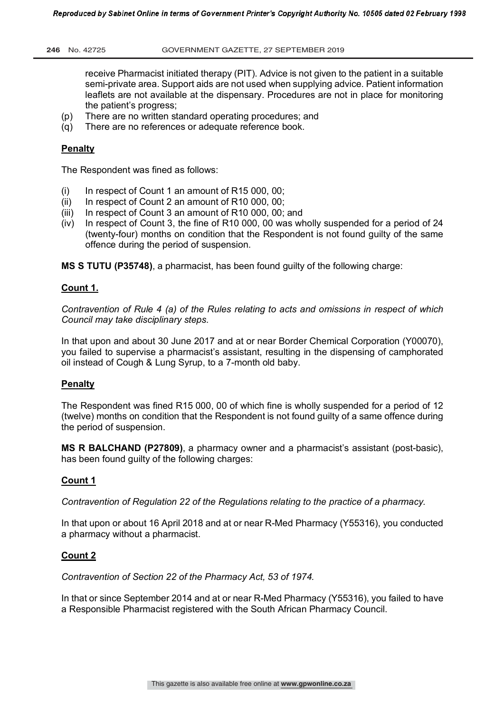receive Pharmacist initiated therapy (PIT). Advice is not given to the patient in a suitable semi-private area. Support aids are not used when supplying advice. Patient information leaflets are not available at the dispensary. Procedures are not in place for monitoring the patient's progress;

- (p) There are no written standard operating procedures; and
- (q) There are no references or adequate reference book.

## **Penalty**

The Respondent was fined as follows:

- $(i)$  In respect of Count 1 an amount of R15 000, 00;
- (ii) In respect of Count 2 an amount of R10 000, 00;
- (iii) In respect of Count 3 an amount of R10 000, 00; and
- $(iv)$  In respect of Count 3, the fine of R10 000, 00 was wholly suspended for a period of 24 (twenty-four) months on condition that the Respondent is not found guilty of the same offence during the period of suspension.

**MS S TUTU (P35748)**, a pharmacist, has been found guilty of the following charge:

## **Count 1.**

*Contravention of Rule 4 (a) of the Rules relating to acts and omissions in respect of which Council may take disciplinary steps.*

In that upon and about 30 June 2017 and at or near Border Chemical Corporation (Y00070), you failed to supervise a pharmacist's assistant, resulting in the dispensing of camphorated oil instead of Cough & Lung Syrup, to a 7-month old baby.

## **Penalty**

The Respondent was fined R15 000, 00 of which fine is wholly suspended for a period of 12 (twelve) months on condition that the Respondent is not found guilty of a same offence during the period of suspension.

**MS R BALCHAND (P27809)**, a pharmacy owner and a pharmacist's assistant (post-basic), has been found guilty of the following charges:

# **Count 1**

*Contravention of Regulation 22 of the Regulations relating to the practice of a pharmacy.* 

In that upon or about 16 April 2018 and at or near R-Med Pharmacy (Y55316), you conducted a pharmacy without a pharmacist.

## **Count 2**

*Contravention of Section 22 of the Pharmacy Act, 53 of 1974.*

In that or since September 2014 and at or near R-Med Pharmacy (Y55316), you failed to have a Responsible Pharmacist registered with the South African Pharmacy Council.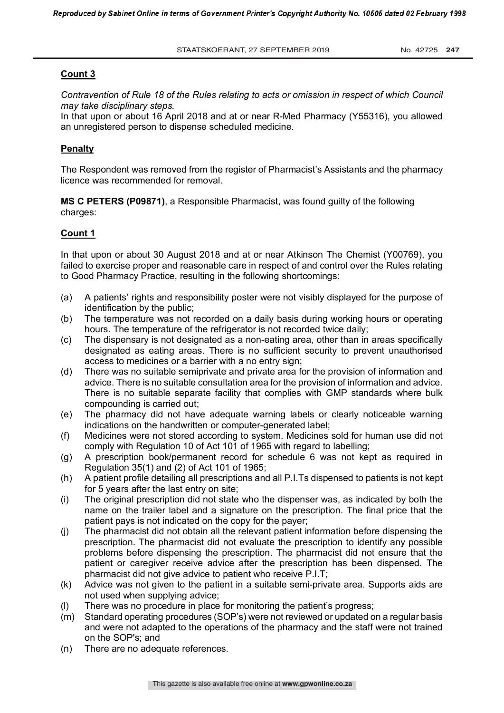*Contravention of Rule 18 of the Rules relating to acts or omission in respect of which Council may take disciplinary steps.*

In that upon or about 16 April 2018 and at or near R-Med Pharmacy (Y55316), you allowed an unregistered person to dispense scheduled medicine.

#### **Penalty**

The Respondent was removed from the register of Pharmacist's Assistants and the pharmacy licence was recommended for removal.

**MS C PETERS (P09871)**, a Responsible Pharmacist, was found guilty of the following charges:

#### **Count 1**

In that upon or about 30 August 2018 and at or near Atkinson The Chemist (Y00769), you failed to exercise proper and reasonable care in respect of and control over the Rules relating to Good Pharmacy Practice, resulting in the following shortcomings:

- (a) A patients' rights and responsibility poster were not visibly displayed for the purpose of identification by the public;
- (b) The temperature was not recorded on a daily basis during working hours or operating hours. The temperature of the refrigerator is not recorded twice daily;
- (c) The dispensary is not designated as a non-eating area, other than in areas specifically designated as eating areas. There is no sufficient security to prevent unauthorised access to medicines or a barrier with a no entry sign;
- (d) There was no suitable semiprivate and private area for the provision of information and advice. There is no suitable consultation area for the provision of information and advice. There is no suitable separate facility that complies with GMP standards where bulk compounding is carried out;
- (e) The pharmacy did not have adequate warning labels or clearly noticeable warning indications on the handwritten or computer-generated label;
- (f) Medicines were not stored according to system. Medicines sold for human use did not comply with Regulation 10 of Act 101 of 1965 with regard to labelling;
- (g) A prescription book/permanent record for schedule 6 was not kept as required in Regulation 35(1) and (2) of Act 101 of 1965;
- (h) A patient profile detailing all prescriptions and all P.I.Ts dispensed to patients is not kept for 5 years after the last entry on site;
- (i) The original prescription did not state who the dispenser was, as indicated by both the name on the trailer label and a signature on the prescription. The final price that the patient pays is not indicated on the copy for the payer;
- (j) The pharmacist did not obtain all the relevant patient information before dispensing the prescription. The pharmacist did not evaluate the prescription to identify any possible problems before dispensing the prescription. The pharmacist did not ensure that the patient or caregiver receive advice after the prescription has been dispensed. The pharmacist did not give advice to patient who receive P.I.T;
- (k) Advice was not given to the patient in a suitable semi-private area. Supports aids are not used when supplying advice;
- (I) There was no procedure in place for monitoring the patient's progress;<br>(m) Standard operating procedures (SOP's) were not reviewed or updated o
- Standard operating procedures (SOP's) were not reviewed or updated on a regular basis and were not adapted to the operations of the pharmacy and the staff were not trained on the SOP's; and
- (n) There are no adequate references.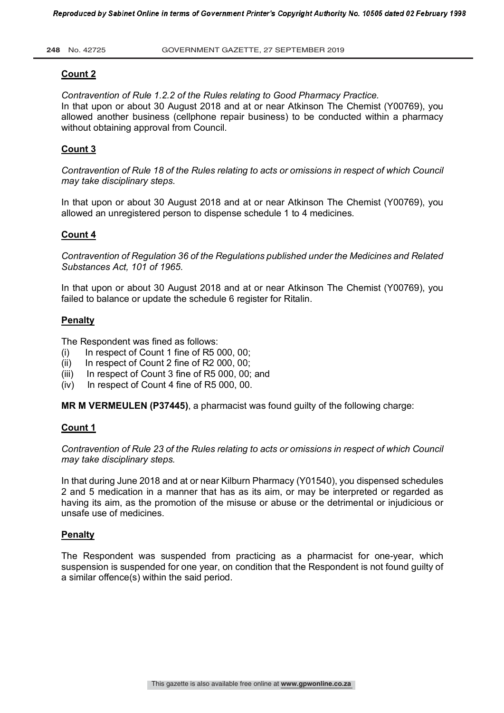## **Count 2**

*Contravention of Rule 1.2.2 of the Rules relating to Good Pharmacy Practice.*  In that upon or about 30 August 2018 and at or near Atkinson The Chemist (Y00769), you allowed another business (cellphone repair business) to be conducted within a pharmacy without obtaining approval from Council.

# **Count 3**

*Contravention of Rule 18 of the Rules relating to acts or omissions in respect of which Council may take disciplinary steps*.

In that upon or about 30 August 2018 and at or near Atkinson The Chemist (Y00769), you allowed an unregistered person to dispense schedule 1 to 4 medicines.

## **Count 4**

*Contravention of Regulation 36 of the Regulations published under the Medicines and Related Substances Act, 101 of 1965.*

In that upon or about 30 August 2018 and at or near Atkinson The Chemist (Y00769), you failed to balance or update the schedule 6 register for Ritalin.

## **Penalty**

The Respondent was fined as follows:

- (i) In respect of Count 1 fine of R5 000, 00;
- $(ii)$  In respect of Count 2 fine of R2 000, 00;
- (iii) In respect of Count 3 fine of R5 000, 00; and
- (iv) In respect of Count 4 fine of R5 000, 00.

**MR M VERMEULEN (P37445)**, a pharmacist was found guilty of the following charge:

## **Count 1**

*Contravention of Rule 23 of the Rules relating to acts or omissions in respect of which Council may take disciplinary steps.*

In that during June 2018 and at or near Kilburn Pharmacy (Y01540), you dispensed schedules 2 and 5 medication in a manner that has as its aim, or may be interpreted or regarded as having its aim, as the promotion of the misuse or abuse or the detrimental or injudicious or unsafe use of medicines.

## **Penalty**

The Respondent was suspended from practicing as a pharmacist for one-year, which suspension is suspended for one year, on condition that the Respondent is not found guilty of a similar offence(s) within the said period.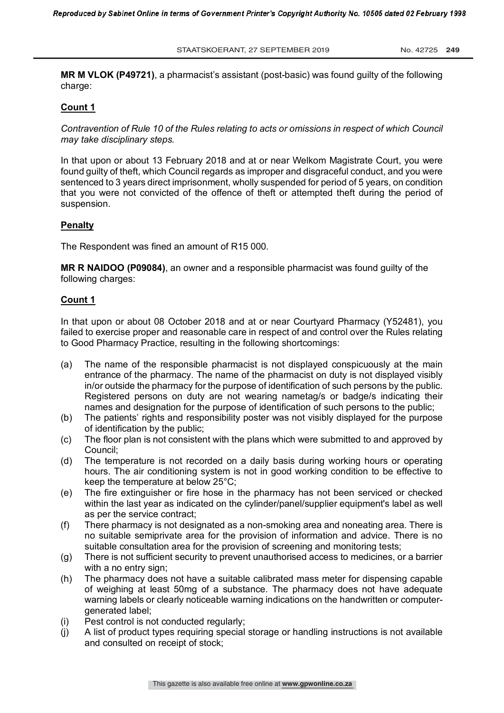**MR M VLOK (P49721)**, a pharmacist's assistant (post-basic) was found guilty of the following charge:

## **Count 1**

*Contravention of Rule 10 of the Rules relating to acts or omissions in respect of which Council may take disciplinary steps.*

In that upon or about 13 February 2018 and at or near Welkom Magistrate Court, you were found guilty of theft, which Council regards as improper and disgraceful conduct, and you were sentenced to 3 years direct imprisonment, wholly suspended for period of 5 years, on condition that you were not convicted of the offence of theft or attempted theft during the period of suspension.

## **Penalty**

The Respondent was fined an amount of R15 000.

**MR R NAIDOO (P09084)**, an owner and a responsible pharmacist was found guilty of the following charges:

## **Count 1**

In that upon or about 08 October 2018 and at or near Courtyard Pharmacy (Y52481), you failed to exercise proper and reasonable care in respect of and control over the Rules relating to Good Pharmacy Practice, resulting in the following shortcomings:

- (a) The name of the responsible pharmacist is not displayed conspicuously at the main entrance of the pharmacy. The name of the pharmacist on duty is not displayed visibly in/or outside the pharmacy for the purpose of identification of such persons by the public. Registered persons on duty are not wearing nametag/s or badge/s indicating their names and designation for the purpose of identification of such persons to the public;
- (b) The patients' rights and responsibility poster was not visibly displayed for the purpose of identification by the public;
- (c) The floor plan is not consistent with the plans which were submitted to and approved by Council;
- (d) The temperature is not recorded on a daily basis during working hours or operating hours. The air conditioning system is not in good working condition to be effective to keep the temperature at below 25°C;
- (e) The fire extinguisher or fire hose in the pharmacy has not been serviced or checked within the last year as indicated on the cylinder/panel/supplier equipment's label as well as per the service contract;
- (f) There pharmacy is not designated as a non-smoking area and noneating area. There is no suitable semiprivate area for the provision of information and advice. There is no suitable consultation area for the provision of screening and monitoring tests:
- (g) There is not sufficient security to prevent unauthorised access to medicines, or a barrier with a no entry sign:
- (h) The pharmacy does not have a suitable calibrated mass meter for dispensing capable of weighing at least 50mg of a substance. The pharmacy does not have adequate warning labels or clearly noticeable warning indications on the handwritten or computergenerated label;
- (i) Pest control is not conducted regularly;
- (j) A list of product types requiring special storage or handling instructions is not available and consulted on receipt of stock;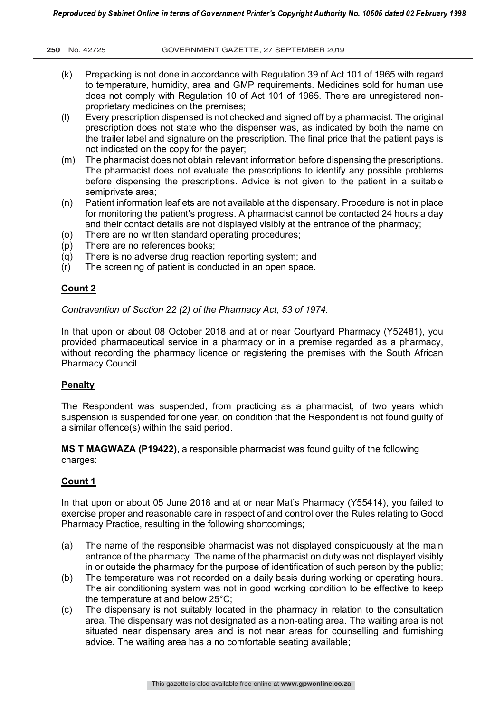- (k) Prepacking is not done in accordance with Regulation 39 of Act 101 of 1965 with regard to temperature, humidity, area and GMP requirements. Medicines sold for human use does not comply with Regulation 10 of Act 101 of 1965. There are unregistered nonproprietary medicines on the premises;
- (l) Every prescription dispensed is not checked and signed off by a pharmacist. The original prescription does not state who the dispenser was, as indicated by both the name on the trailer label and signature on the prescription. The final price that the patient pays is not indicated on the copy for the payer;
- (m) The pharmacist does not obtain relevant information before dispensing the prescriptions. The pharmacist does not evaluate the prescriptions to identify any possible problems before dispensing the prescriptions. Advice is not given to the patient in a suitable semiprivate area;
- (n) Patient information leaflets are not available at the dispensary. Procedure is not in place for monitoring the patient's progress. A pharmacist cannot be contacted 24 hours a day and their contact details are not displayed visibly at the entrance of the pharmacy;
- (o) There are no written standard operating procedures;
- (p) There are no references books;
- (q) There is no adverse drug reaction reporting system; and
- (r) The screening of patient is conducted in an open space.

*Contravention of Section 22 (2) of the Pharmacy Act, 53 of 1974.*

In that upon or about 08 October 2018 and at or near Courtyard Pharmacy (Y52481), you provided pharmaceutical service in a pharmacy or in a premise regarded as a pharmacy, without recording the pharmacy licence or registering the premises with the South African Pharmacy Council.

# **Penalty**

The Respondent was suspended, from practicing as a pharmacist, of two years which suspension is suspended for one year, on condition that the Respondent is not found guilty of a similar offence(s) within the said period.

**MS T MAGWAZA (P19422)**, a responsible pharmacist was found guilty of the following charges:

# **Count 1**

In that upon or about 05 June 2018 and at or near Mat's Pharmacy (Y55414), you failed to exercise proper and reasonable care in respect of and control over the Rules relating to Good Pharmacy Practice, resulting in the following shortcomings;

- (a) The name of the responsible pharmacist was not displayed conspicuously at the main entrance of the pharmacy. The name of the pharmacist on duty was not displayed visibly in or outside the pharmacy for the purpose of identification of such person by the public;
- (b) The temperature was not recorded on a daily basis during working or operating hours. The air conditioning system was not in good working condition to be effective to keep the temperature at and below 25°C;
- (c) The dispensary is not suitably located in the pharmacy in relation to the consultation area. The dispensary was not designated as a non-eating area. The waiting area is not situated near dispensary area and is not near areas for counselling and furnishing advice. The waiting area has a no comfortable seating available;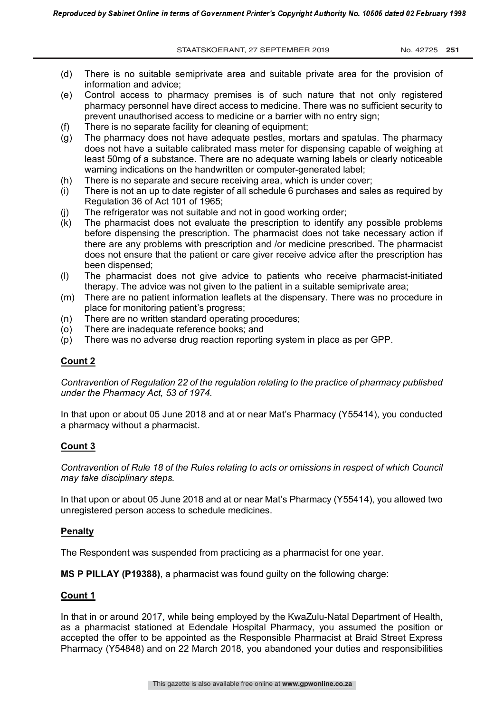STAATSKOERANT, 27 SEPTEMBER 2019 No. 42725 251

- (d) There is no suitable semiprivate area and suitable private area for the provision of information and advice;
- (e) Control access to pharmacy premises is of such nature that not only registered pharmacy personnel have direct access to medicine. There was no sufficient security to prevent unauthorised access to medicine or a barrier with no entry sign;
- (f) There is no separate facility for cleaning of equipment;
- (g) The pharmacy does not have adequate pestles, mortars and spatulas. The pharmacy does not have a suitable calibrated mass meter for dispensing capable of weighing at least 50mg of a substance. There are no adequate warning labels or clearly noticeable warning indications on the handwritten or computer-generated label;
- (h) There is no separate and secure receiving area, which is under cover;
- (i) There is not an up to date register of all schedule 6 purchases and sales as required by Regulation 36 of Act 101 of 1965;
- (j) The refrigerator was not suitable and not in good working order;
- (k) The pharmacist does not evaluate the prescription to identify any possible problems before dispensing the prescription. The pharmacist does not take necessary action if there are any problems with prescription and /or medicine prescribed. The pharmacist does not ensure that the patient or care giver receive advice after the prescription has been dispensed;
- (l) The pharmacist does not give advice to patients who receive pharmacist-initiated therapy. The advice was not given to the patient in a suitable semiprivate area;
- (m) There are no patient information leaflets at the dispensary. There was no procedure in place for monitoring patient's progress;
- (n) There are no written standard operating procedures;
- (o) There are inadequate reference books; and
- (p) There was no adverse drug reaction reporting system in place as per GPP.

# **Count 2**

*Contravention of Regulation 22 of the regulation relating to the practice of pharmacy published under the Pharmacy Act, 53 of 1974.*

In that upon or about 05 June 2018 and at or near Mat's Pharmacy (Y55414), you conducted a pharmacy without a pharmacist.

# **Count 3**

*Contravention of Rule 18 of the Rules relating to acts or omissions in respect of which Council may take disciplinary steps.*

In that upon or about 05 June 2018 and at or near Mat's Pharmacy (Y55414), you allowed two unregistered person access to schedule medicines.

## **Penalty**

The Respondent was suspended from practicing as a pharmacist for one year.

**MS P PILLAY (P19388)**, a pharmacist was found guilty on the following charge:

# **Count 1**

In that in or around 2017, while being employed by the KwaZulu-Natal Department of Health, as a pharmacist stationed at Edendale Hospital Pharmacy, you assumed the position or accepted the offer to be appointed as the Responsible Pharmacist at Braid Street Express Pharmacy (Y54848) and on 22 March 2018, you abandoned your duties and responsibilities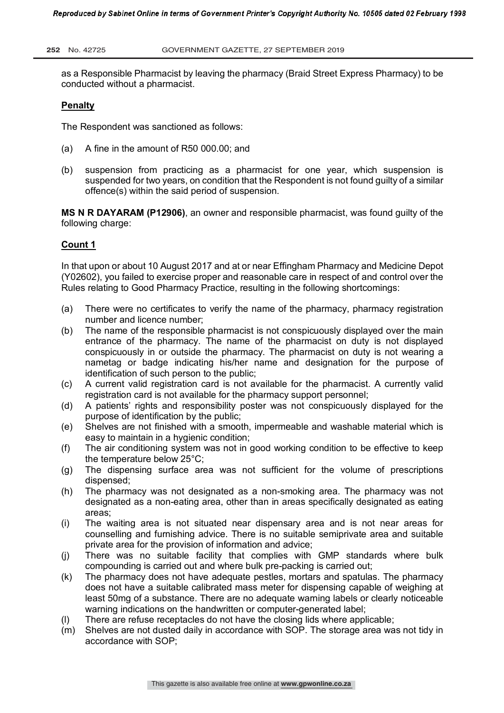as a Responsible Pharmacist by leaving the pharmacy (Braid Street Express Pharmacy) to be conducted without a pharmacist.

## **Penalty**

The Respondent was sanctioned as follows:

- (a) A fine in the amount of R50 000.00; and
- (b) suspension from practicing as a pharmacist for one year, which suspension is suspended for two years, on condition that the Respondent is not found guilty of a similar offence(s) within the said period of suspension.

**MS N R DAYARAM (P12906)**, an owner and responsible pharmacist, was found guilty of the following charge:

## **Count 1**

In that upon or about 10 August 2017 and at or near Effingham Pharmacy and Medicine Depot (Y02602), you failed to exercise proper and reasonable care in respect of and control over the Rules relating to Good Pharmacy Practice, resulting in the following shortcomings:

- (a) There were no certificates to verify the name of the pharmacy, pharmacy registration number and licence number;
- (b) The name of the responsible pharmacist is not conspicuously displayed over the main entrance of the pharmacy. The name of the pharmacist on duty is not displayed conspicuously in or outside the pharmacy. The pharmacist on duty is not wearing a nametag or badge indicating his/her name and designation for the purpose of identification of such person to the public;
- (c) A current valid registration card is not available for the pharmacist. A currently valid registration card is not available for the pharmacy support personnel;
- (d) A patients' rights and responsibility poster was not conspicuously displayed for the purpose of identification by the public;
- (e) Shelves are not finished with a smooth, impermeable and washable material which is easy to maintain in a hygienic condition;
- (f) The air conditioning system was not in good working condition to be effective to keep the temperature below 25°C;
- (g) The dispensing surface area was not sufficient for the volume of prescriptions dispensed;
- (h) The pharmacy was not designated as a non-smoking area. The pharmacy was not designated as a non-eating area, other than in areas specifically designated as eating areas;
- (i) The waiting area is not situated near dispensary area and is not near areas for counselling and furnishing advice. There is no suitable semiprivate area and suitable private area for the provision of information and advice;
- (j) There was no suitable facility that complies with GMP standards where bulk compounding is carried out and where bulk pre-packing is carried out;
- (k) The pharmacy does not have adequate pestles, mortars and spatulas. The pharmacy does not have a suitable calibrated mass meter for dispensing capable of weighing at least 50mg of a substance. There are no adequate warning labels or clearly noticeable warning indications on the handwritten or computer-generated label:
- (l) There are refuse receptacles do not have the closing lids where applicable;
- (m) Shelves are not dusted daily in accordance with SOP. The storage area was not tidy in accordance with SOP;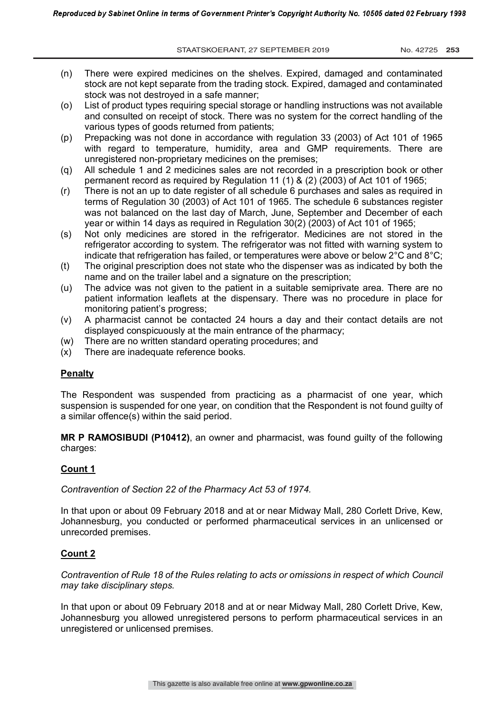STAATSKOERANT, 27 SEPTEMBER 2019 No. 42725 253

- (n) There were expired medicines on the shelves. Expired, damaged and contaminated stock are not kept separate from the trading stock. Expired, damaged and contaminated stock was not destroyed in a safe manner;
- (o) List of product types requiring special storage or handling instructions was not available and consulted on receipt of stock. There was no system for the correct handling of the various types of goods returned from patients;
- (p) Prepacking was not done in accordance with regulation 33 (2003) of Act 101 of 1965 with regard to temperature, humidity, area and GMP requirements. There are unregistered non-proprietary medicines on the premises;
- (q) All schedule 1 and 2 medicines sales are not recorded in a prescription book or other permanent record as required by Regulation 11 (1) & (2) (2003) of Act 101 of 1965;
- (r) There is not an up to date register of all schedule 6 purchases and sales as required in terms of Regulation 30 (2003) of Act 101 of 1965. The schedule 6 substances register was not balanced on the last day of March, June, September and December of each year or within 14 days as required in Regulation 30(2) (2003) of Act 101 of 1965;
- (s) Not only medicines are stored in the refrigerator. Medicines are not stored in the refrigerator according to system. The refrigerator was not fitted with warning system to indicate that refrigeration has failed, or temperatures were above or below  $2^{\circ}$ C and  $8^{\circ}$ C:
- (t) The original prescription does not state who the dispenser was as indicated by both the name and on the trailer label and a signature on the prescription;
- (u) The advice was not given to the patient in a suitable semiprivate area. There are no patient information leaflets at the dispensary. There was no procedure in place for monitoring patient's progress;
- (v) A pharmacist cannot be contacted 24 hours a day and their contact details are not displayed conspicuously at the main entrance of the pharmacy;
- (w) There are no written standard operating procedures; and
- (x) There are inadequate reference books.

# **Penalty**

The Respondent was suspended from practicing as a pharmacist of one year, which suspension is suspended for one year, on condition that the Respondent is not found guilty of a similar offence(s) within the said period.

**MR P RAMOSIBUDI (P10412)**, an owner and pharmacist, was found guilty of the following charges:

# **Count 1**

*Contravention of Section 22 of the Pharmacy Act 53 of 1974.*

In that upon or about 09 February 2018 and at or near Midway Mall, 280 Corlett Drive, Kew, Johannesburg, you conducted or performed pharmaceutical services in an unlicensed or unrecorded premises.

# **Count 2**

*Contravention of Rule 18 of the Rules relating to acts or omissions in respect of which Council may take disciplinary steps.*

In that upon or about 09 February 2018 and at or near Midway Mall, 280 Corlett Drive, Kew, Johannesburg you allowed unregistered persons to perform pharmaceutical services in an unregistered or unlicensed premises.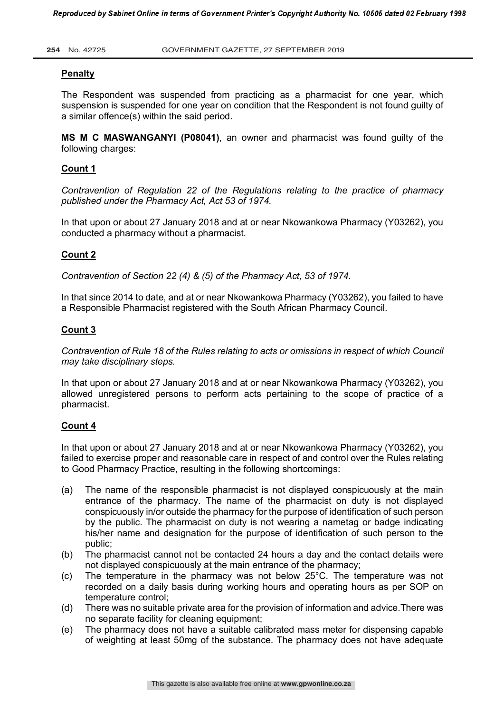## **Penalty**

The Respondent was suspended from practicing as a pharmacist for one year, which suspension is suspended for one year on condition that the Respondent is not found guilty of a similar offence(s) within the said period.

**MS M C MASWANGANYI (P08041)**, an owner and pharmacist was found guilty of the following charges:

# **Count 1**

*Contravention of Regulation 22 of the Regulations relating to the practice of pharmacy published under the Pharmacy Act, Act 53 of 1974.*

In that upon or about 27 January 2018 and at or near Nkowankowa Pharmacy (Y03262), you conducted a pharmacy without a pharmacist.

# **Count 2**

*Contravention of Section 22 (4) & (5) of the Pharmacy Act, 53 of 1974.*

In that since 2014 to date, and at or near Nkowankowa Pharmacy (Y03262), you failed to have a Responsible Pharmacist registered with the South African Pharmacy Council.

## **Count 3**

*Contravention of Rule 18 of the Rules relating to acts or omissions in respect of which Council may take disciplinary steps.*

In that upon or about 27 January 2018 and at or near Nkowankowa Pharmacy (Y03262), you allowed unregistered persons to perform acts pertaining to the scope of practice of a pharmacist.

## **Count 4**

In that upon or about 27 January 2018 and at or near Nkowankowa Pharmacy (Y03262), you failed to exercise proper and reasonable care in respect of and control over the Rules relating to Good Pharmacy Practice, resulting in the following shortcomings:

- (a) The name of the responsible pharmacist is not displayed conspicuously at the main entrance of the pharmacy. The name of the pharmacist on duty is not displayed conspicuously in/or outside the pharmacy for the purpose of identification of such person by the public. The pharmacist on duty is not wearing a nametag or badge indicating his/her name and designation for the purpose of identification of such person to the public;
- (b) The pharmacist cannot not be contacted 24 hours a day and the contact details were not displayed conspicuously at the main entrance of the pharmacy;
- (c) The temperature in the pharmacy was not below 25°C. The temperature was not recorded on a daily basis during working hours and operating hours as per SOP on temperature control;
- (d) There was no suitable private area for the provision of information and advice.There was no separate facility for cleaning equipment;
- (e) The pharmacy does not have a suitable calibrated mass meter for dispensing capable of weighting at least 50mg of the substance. The pharmacy does not have adequate